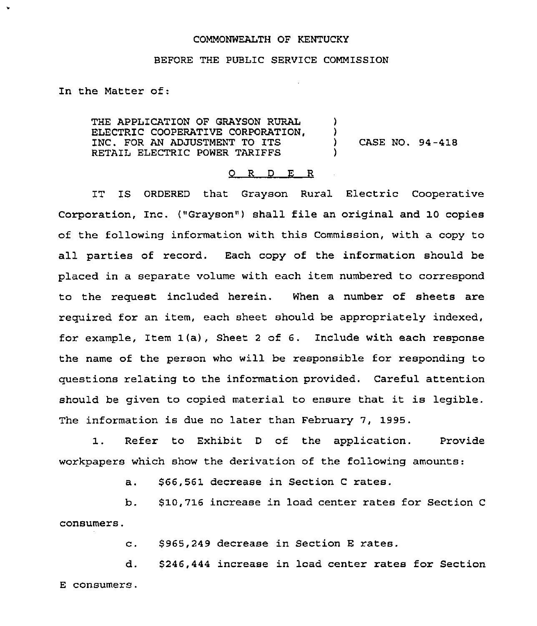## COMMONWEALTH OF KENTUCKY

## BEFORE THE PUBLIC SERVICE COMMISSION

In the Matter of:

THE APPLICATION OF GRAYSON RURAL ()<br>ELECTRIC COOPERATIVE CORPORATION. () ELECTRIC COOPERATIVE CORPORATION,  $\bigcup_{n=1}^{\infty}$  ) INC. FOR AN ADJUSTMENT TO ITS  $\overline{a}$  (ASE NO. 94-418)<br>RETAIL ELECTRIC POWER TARIFFS RETAIL ELECTRIC POWER TARIFFS )

## 0 R <sup>D</sup> E <sup>R</sup>

IT IS ORDERED that Grayson Rural Electric Cooperative Corporation, Inc. ("Grayson") shall file an original and 10 copies of the following information with this Commission, with a copy to all parties of record. Each copy of the information should be placed in a separate volume with each item numbered to correspond to the request included herein. When a number of sheets are required for an item, each sheet should be appropriately indexed, for example, Item 1(a), Sheet <sup>2</sup> of 6. Include with each response the name of the person who will be responsible for responding to questions relating to the information provided. Careful attention should be given to copied material to ensure that it is legible. The information is due no later than February 7, 1995.

1. Refer to Exhibit <sup>D</sup> of the application. Provide workpapers which show the derivation of the following amounts:

a. \$66,561 decrease in Section <sup>C</sup> rates.

b. \$10,716 increase in load center rates for Section <sup>C</sup> consumers.

c. \$ 965,249 decrease in Section <sup>E</sup> rates.

d. \$246,444 increase in load center rates for Section E consumers.